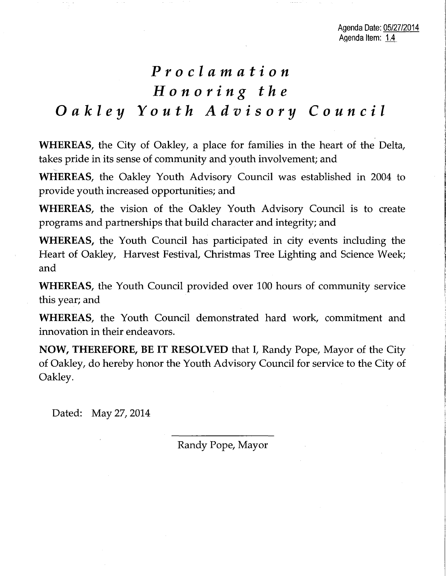## *Proclamation Honoring the Oakley Youth Advisory Council*

**WHEREAS,** the City of Oakley, a place for families in the heart of the Delta, takes pride in its sense of community and youth involvement; and

~ **WHEREAS,** the Oakley Youth Advisory Council was established in 2004 to provide youth increased opportunities; and

**WHEREAS,** the vision of the Oakley Youth Advisory Council is to create programs and partnerships that build character and integrity; and

**WHEREAS,** the Youth Council has participated in city events including the Heart of Oakley, Harvest Festival, Christmas Tree Lighting and Science Week; and

**WHEREAS,** the Youth Council provided over 100 hours of community service this year; and

**WHEREAS,** the Youth Council demonstrated hard work, commitment and innovation in their endeavors.

**NOW, THEREFORE, BE IT RESOLVED** that I, Randy Pope, Mayor of the City of Oakley, do hereby honor the Youth Advisory Council for service to the City of Oakley.

Dated: May 27, 2014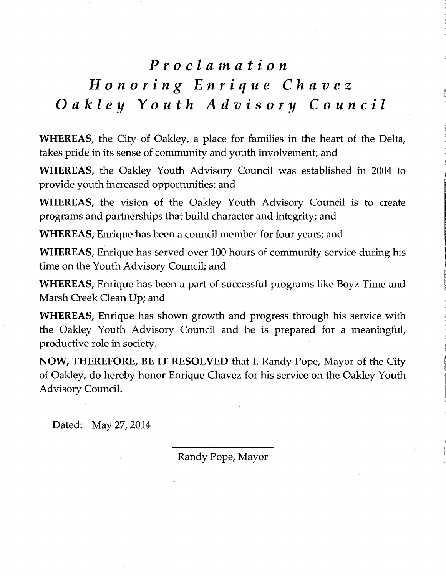# *Proclamation Honoring Enrique Chavez Oakley Youth Advisory Council*

**WHEREAS,** the City of Oakley, a place for families in the heart of the Delta, takes pride in its sense of community and youth involvement; and

**WHEREAS,** the Oakley Youth Advisory Council was established in 2004 to provide youth increased opportunities; and

**WHEREAS,** the vision of the Oakley Youth Advisory Council is to create programs and partnerships that build character and integrity; and

**WHEREAS,** Enrique has been a council member for four years; and

**WHEREAS,** Enrique has served over 100 hours of community service during his time on the Youth Advisory Council; and

**WHEREAS,** Enrique has been a part of successful programs like Boyz Time and Marsh Creek Clean Up; and

**WHEREAS,** Enrique has shown growth and progress through his service with the Oakley Youth Advisory Council and he is prepared for a meaningful, productive role in society.

**NOW, THEREFORE, BE IT RESOLVED** that I, Randy Pope, Mayor of the City of Oakley, do hereby honor Enrique Chavez for his service on the Oakley Youth Advisory Council.

Dated: May 27, 2014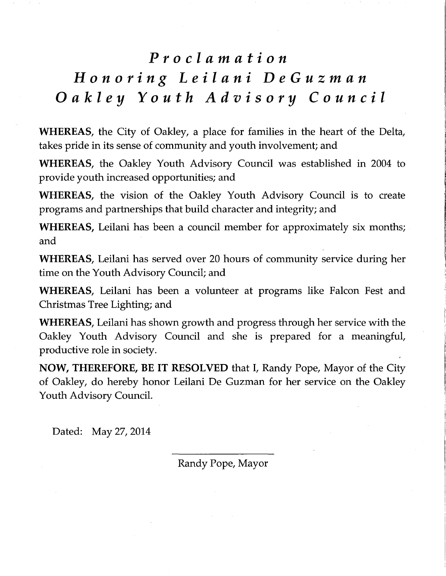#### *Proclamation*

## *Honoring Leilani DeGuzman Oakley Youth Advisory Council*

**WHEREAS,** the City of Oakley, a place for families in the heart of the Delta, takes pride in its sense of community and youth involvement; and

**WHEREAS,** the Oakley Youth Advisory Council was established in 2004 to provide youth increased opportunities; and

**WHEREAS,** the vision of the Oakley Youth Advisory Council is to create programs and partnerships that build character and integrity; and

**WHEREAS,** Leilani has been a council member for approximately six months; and

**WHEREAS,** Leilani has served over 20 hours of community service during her time on the Youth Advisory Council; and

**WHEREAS,** Leilani has been a volunteer at programs like Falcon Fest and Christmas Tree Lighting; and

**WHEREAS,** Leilani has shown growth and progress through her service with the Oakley Youth Advisory Council and she is prepared for a meaningful, productive role in society.

**NOW, THEREFORE, BE IT RESOLVED** that I, Randy Pope, Mayor of the City of Oakley, do hereby honor Leilani De Guzman for her service on the Oakley Youth Advisory Council.

Dated: May 27, 2014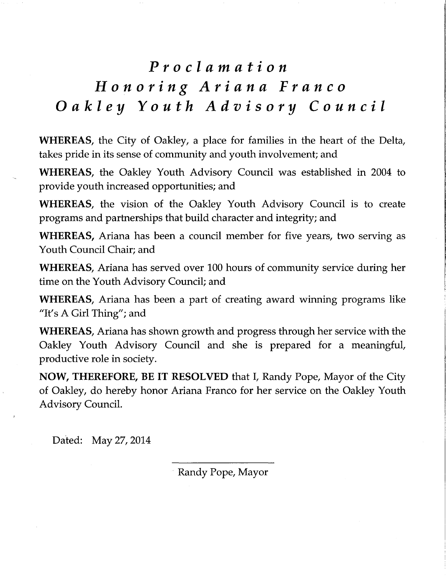# *Proclamation Honoring Ariana Franco Oakley Youth Advisory Council*

**WHEREAS,** the City of Oakley, a place for families in the heart of the Delta, takes pride in its sense of community and youth involvement; and

**WHEREAS,** the Oakley Youth Advisory Council was established in 2004 to provide youth increased opportunities; and

**WHEREAS,** the vision of the Oakley Youth Advisory Council is to create programs and partnerships that build character and integrity; and

**WHEREAS,** Ariana has been a council member for five years, two serving as Youth Council Chair; and

**WHEREAS,** Ariana has served over 100 hours of community service during her time on the Youth Advisory Council; and

**WHEREAS,** Ariana has been a part of creating award winning programs like "It's A Girl Thing"; and

**WHEREAS,** Ariana has shown growth and progress through her service with the Oakley Youth Advisory Council and she is prepared for a meaningful, productive role in society.

**NOW, THEREFORE, BE IT RESOLVED** that I, Randy Pope, Mayor of the City of Oakley, do hereby honor Ariana Franco for her service on the Oakley Youth Advisory Council.

Dated: May 27,2014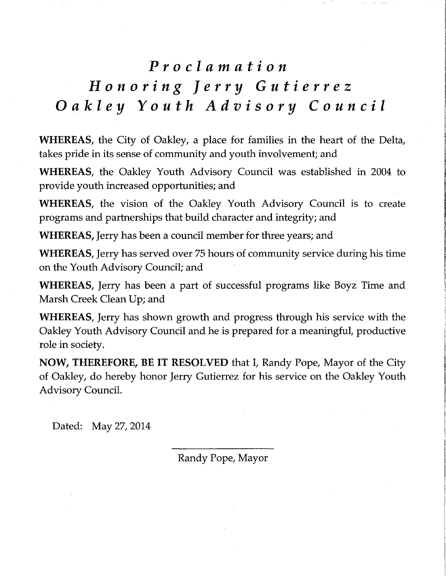### *Proclamation*

## *Honoring Jerry Gutierrez Oakley Youth Advisory Council*

**WHEREAS,** the City of Oakley, a place for families in the heart of the Delta, takes pride in its sense of community and youth involvement; and

**WHEREAS,** the Oakley Youth Advisory Council was established in 2004 to provide youth increased opportunities; and

**WHEREAS,** the vision of the Oakley Youth Advisory Council is to create programs and partnerships that build character and integrity; and

**WHEREAS,** Jerry has been a council member for three years; and

**WHEREAS,** Jerry has served over 75 hours of community service during his time on the Youth Advisory Council; and

**WHEREAS,** Jerry has been a part of successful programs like Boyz Time and Marsh Creek Clean Up; and

**WHEREAS,** Jerry has shown growth and progress through his service with the Oakley Youth Advisory Council and he is prepared for a meaningful, productive role in society.

**NOW, THEREFORE, BE IT RESOLVED** that I, Randy Pope, Mayor of the City of Oakley, do hereby honor Jerry Gutierrez for his service on the Oakley Youth Advisory Council.

Dated: May 27, 2014